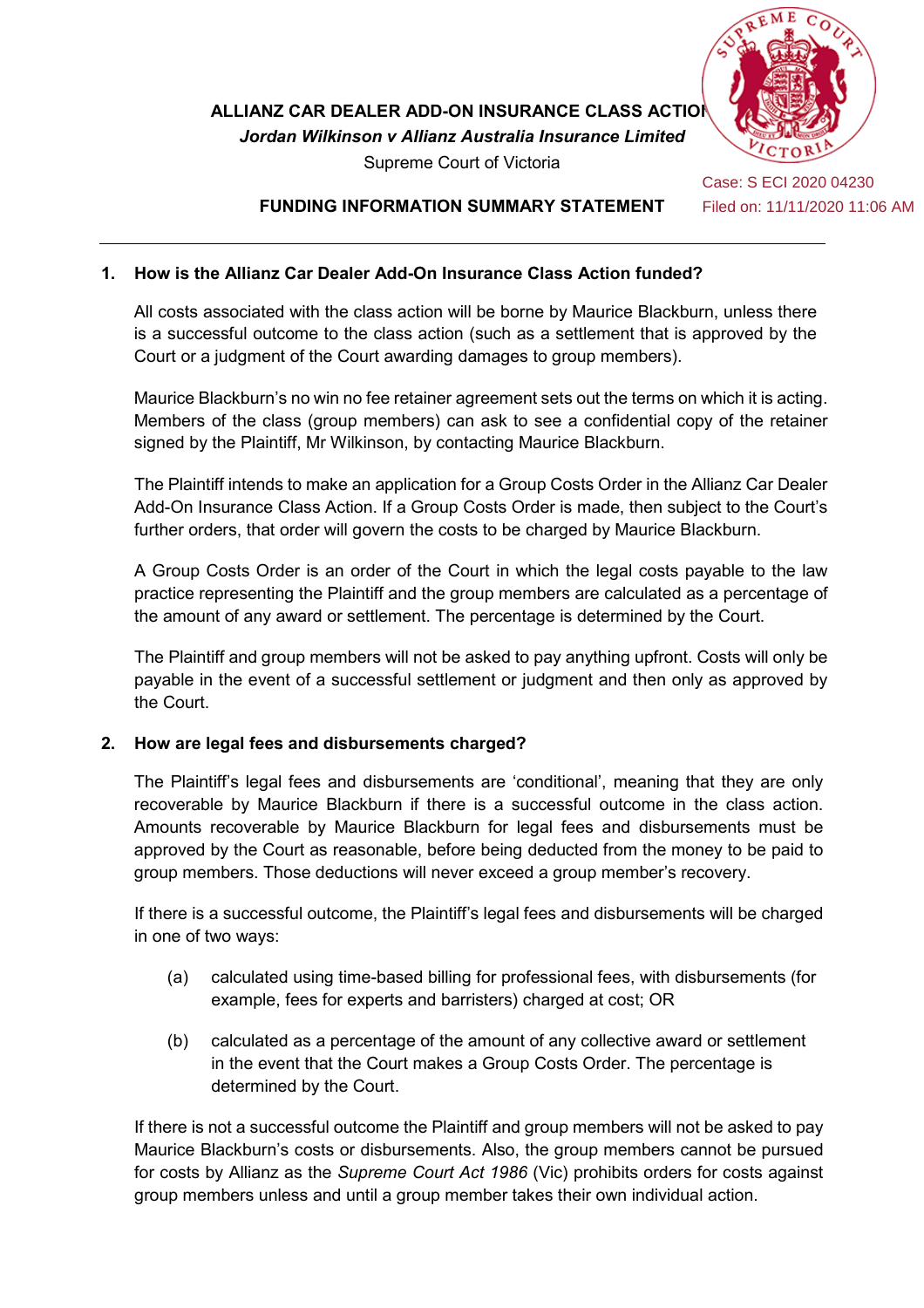

Supreme Court of Victoria

Case: S ECI 2020 04230 Filed on: 11/11/2020 11:06 AM

## **FUNDING INFORMATION SUMMARY STATEMENT**

## **1. How is the Allianz Car Dealer Add-On Insurance Class Action funded?**

All costs associated with the class action will be borne by Maurice Blackburn, unless there is a successful outcome to the class action (such as a settlement that is approved by the Court or a judgment of the Court awarding damages to group members).

Maurice Blackburn's no win no fee retainer agreement sets out the terms on which it is acting. Members of the class (group members) can ask to see a confidential copy of the retainer signed by the Plaintiff, Mr Wilkinson, by contacting Maurice Blackburn.

The Plaintiff intends to make an application for a Group Costs Order in the Allianz Car Dealer Add-On Insurance Class Action. If a Group Costs Order is made, then subject to the Court's further orders, that order will govern the costs to be charged by Maurice Blackburn.

A Group Costs Order is an order of the Court in which the legal costs payable to the law practice representing the Plaintiff and the group members are calculated as a percentage of the amount of any award or settlement. The percentage is determined by the Court.

The Plaintiff and group members will not be asked to pay anything upfront. Costs will only be payable in the event of a successful settlement or judgment and then only as approved by the Court.

## **2. How are legal fees and disbursements charged?**

The Plaintiff's legal fees and disbursements are 'conditional', meaning that they are only recoverable by Maurice Blackburn if there is a successful outcome in the class action. Amounts recoverable by Maurice Blackburn for legal fees and disbursements must be approved by the Court as reasonable, before being deducted from the money to be paid to group members. Those deductions will never exceed a group member's recovery.

If there is a successful outcome, the Plaintiff's legal fees and disbursements will be charged in one of two ways:

- (a) calculated using time-based billing for professional fees, with disbursements (for example, fees for experts and barristers) charged at cost; OR
- (b) calculated as a percentage of the amount of any collective award or settlement in the event that the Court makes a Group Costs Order. The percentage is determined by the Court.

If there is not a successful outcome the Plaintiff and group members will not be asked to pay Maurice Blackburn's costs or disbursements. Also, the group members cannot be pursued for costs by Allianz as the *Supreme Court Act 1986* (Vic) prohibits orders for costs against group members unless and until a group member takes their own individual action.